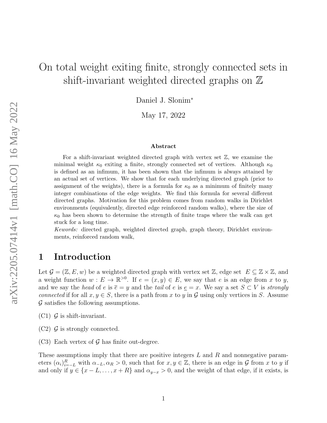# On total weight exiting finite, strongly connected sets in shift-invariant weighted directed graphs on  $\mathbb Z$

Daniel J. Slonim<sup>∗</sup>

May 17, 2022

#### Abstract

For a shift-invariant weighted directed graph with vertex set  $\mathbb{Z}$ , we examine the minimal weight  $\kappa_0$  exiting a finite, strongly connected set of vertices. Although  $\kappa_0$ is defined as an infimum, it has been shown that the infimum is always attained by an actual set of vertices. We show that for each underlying directed graph (prior to assignment of the weights), there is a formula for  $\kappa_0$  as a minimum of finitely many integer combinations of the edge weights. We find this formula for several different directed graphs. Motivation for this problem comes from random walks in Dirichlet environments (equivalently, directed edge reinforced random walks), where the size of  $\kappa_0$  has been shown to determine the strength of finite traps where the walk can get stuck for a long time.

Kewords: directed graph, weighted directed graph, graph theory, Dirichlet environments, reinforced random walk,

# 1 Introduction

Let  $\mathcal{G} = (\mathbb{Z}, E, w)$  be a weighted directed graph with vertex set  $\mathbb{Z}$ , edge set  $E \subseteq \mathbb{Z} \times \mathbb{Z}$ , and a weight function  $w: E \to \mathbb{R}^{>0}$ . If  $e = (x, y) \in E$ , we say that e is an edge from x to y, and we say the head of e is  $\overline{e} = y$  and the tail of e is  $\underline{e} = x$ . We say a set  $S \subset V$  is strongly connected if for all  $x, y \in S$ , there is a path from x to y in G using only vertices in S. Assume  $\mathcal G$  satisfies the following assumptions.

 $(C1)$  G is shift-invariant.

 $(C2)$  G is strongly connected.

(C3) Each vertex of  $\mathcal G$  has finite out-degree.

These assumptions imply that there are positive integers L and R and nonnegative parameters  $(\alpha_i)_{i=-L}^R$  with  $\alpha_{-L}, \alpha_R > 0$ , such that for  $x, y \in \mathbb{Z}$ , there is an edge in  $\mathcal G$  from x to y if and only if  $y \in \{x - L, \ldots, x + R\}$  and  $\alpha_{y-x} > 0$ , and the weight of that edge, if it exists, is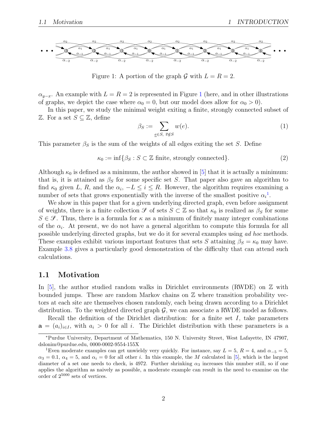

<span id="page-1-0"></span>Figure 1: A portion of the graph  $\mathcal G$  with  $L = R = 2$ .

 $\alpha_{y-x}$ . An example with  $L = R = 2$  is represented in Figure [1](#page-1-0) (here, and in other illustrations of graphs, we depict the case where  $\alpha_0 = 0$ , but our model does allow for  $\alpha_0 > 0$ .

In this paper, we study the minimal weight exiting a finite, strongly connected subset of  $\mathbb{Z}$ . For a set  $S \subseteq \mathbb{Z}$ , define

$$
\beta_S := \sum_{e \in S, \ e \notin S} w(e). \tag{1}
$$

This parameter  $\beta_S$  is the sum of the weights of all edges exiting the set S. Define

$$
\kappa_0 := \inf \{ \beta_S : S \subset \mathbb{Z} \text{ finite, strongly connected} \}. \tag{2}
$$

Although  $\kappa_0$  is defined as a minimum, the author showed in [\[5\]](#page-11-0) that it is actually a minimum: that is, it is attained as  $\beta_S$  for some specific set S. That paper also gave an algorithm to find  $\kappa_0$  given L, R, and the  $\alpha_i$ ,  $-L \leq i \leq R$ . However, the algorithm requires examining a number of sets that grows exponentially with the inverse of the smallest positive  $\alpha_i^1$  $\alpha_i^1$ .

We show in this paper that for a given underlying directed graph, even before assignment of weights, there is a finite collection  $\mathscr{S}$  of sets  $S \subset \mathbb{Z}$  so that  $\kappa_0$  is realized as  $\beta_S$  for some  $S \in \mathcal{S}$ . Thus, there is a formula for  $\kappa$  as a minimum of finitely many integer combinations of the  $\alpha_i$ . At present, we do not have a general algorithm to compute this formula for all possible underlying directed graphs, but we do it for several examples using ad hoc methods. These examples exhibit various important features that sets S attaining  $\beta_S = \kappa_0$  may have. Example [3.8](#page-8-0) gives a particularly good demonstration of the difficulty that can attend such calculations.

### 1.1 Motivation

In [\[5\]](#page-11-0), the author studied random walks in Dirichlet environments (RWDE) on  $\mathbb Z$  with bounded jumps. These are random Markov chains on  $\mathbb Z$  where transition probability vectors at each site are themselves chosen randomly, each being drawn according to a Dirichlet distribution. To the weighted directed graph  $\mathcal{G}$ , we can associate a RWDE model as follows.

Recall the definition of the Dirichlet distribution: for a finite set  $I$ , take parameters  $\mathbf{a} = (a_i)_{i \in I}$ , with  $a_i > 0$  for all i. The Dirichlet distribution with these parameters is a

<sup>∗</sup>Purdue University, Department of Mathematics, 150 N. University Street, West Lafayette, IN 47907, dslonim@purdue.edu, 0000-0002-9554-155X

<span id="page-1-1"></span><sup>&</sup>lt;sup>1</sup>Even moderate examples can get unwieldy very quickly. For instance, say  $L = 5$ ,  $R = 4$ , and  $\alpha_{-5} = 5$ ,  $\alpha_3 = 0.1$ ,  $\alpha_4 = 5$ , and  $\alpha_i = 0$  for all other i. In this example, the M calculated in [\[5\]](#page-11-0), which is the largest diameter of a set one needs to check, is 4972. Further shrinking  $\alpha_3$  increases this number still, so if one applies the algorithm as naively as possible, a moderate example can result in the need to examine on the order of 2<sup>5000</sup> sets of vertices.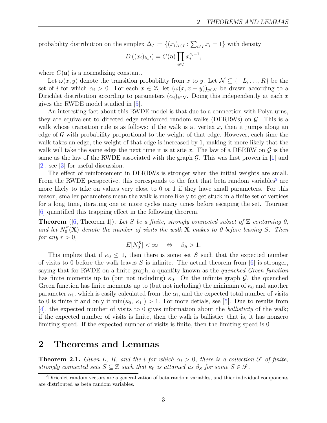probability distribution on the simplex  $\Delta_I := \{(x_i)_{i \in I} : \sum_{i \in I} x_i = 1\}$  with density

$$
D\left((x_i)_{i\in I}\right) = C(\mathbf{a}) \prod_{i\in I} x_i^{a_i-1},
$$

where  $C(\mathbf{a})$  is a normalizing constant.

Let  $\omega(x, y)$  denote the transition probability from x to y. Let  $\mathcal{N} \subseteq \{-L, \ldots, R\}$  be the set of i for which  $\alpha_i > 0$ . For each  $x \in \mathbb{Z}$ , let  $(\omega(x, x+y))_{y \in \mathcal{N}}$  be drawn according to a Dirichlet distribution according to parameters  $(\alpha_i)_{i \in \mathcal{N}}$ . Doing this independently at each x gives the RWDE model studied in [\[5\]](#page-11-0).

An interesting fact about this RWDE model is that due to a connection with Polya urns, they are equivalent to directed edge reinforced random walks (DERRWs) on  $\mathcal{G}$ . This is a walk whose transition rule is as follows: if the walk is at vertex  $x$ , then it jumps along an edge of  $\mathcal G$  with probability proportional to the weight of that edge. However, each time the walk takes an edge, the weight of that edge is increased by 1, making it more likely that the walk will take the same edge the next time it is at site x. The law of a DERRW on  $\mathcal G$  is the same as the law of the RWDE associated with the graph  $\mathcal G$ . This was first proven in [\[1\]](#page-11-1) and [\[2\]](#page-11-2); see [\[3\]](#page-11-3) for useful discussion.

The effect of reinforcement in DERRWs is stronger when the initial weights are small. From the RWDE perspective, this corresponds to the fact that beta random variables<sup>[2](#page-2-0)</sup> are more likely to take on values very close to 0 or 1 if they have small parameters. For this reason, smaller parameters mean the walk is more likely to get stuck in a finite set of vertices for a long time, iterating one or more cycles many times before escaping the set. Tournier [\[6\]](#page-11-4) quantified this trapping effect in the following theorem.

**Theorem** ([\[6,](#page-11-4) Theorem 1]). Let S be a finite, strongly connected subset of  $\mathbb{Z}$  containing 0, and let  $N_0^S$ (**X**) denote the number of visits the walk **X** makes to 0 before leaving S. Then for any  $r > 0$ ,

$$
E[N_0^S] < \infty \quad \Leftrightarrow \quad \beta_S > 1.
$$

This implies that if  $\kappa_0 \leq 1$ , then there is some set S such that the expected number of visits to 0 before the walk leaves S is infinite. The actual theorem from  $[6]$  is stronger, saying that for RWDE on a finite graph, a quantity known as the *quenched Green function* has finite moments up to (but not including)  $\kappa_0$ . On the infinite graph  $\mathcal{G}$ , the quenched Green function has finite moments up to (but not including) the minimum of  $\kappa_0$  and another parameter  $\kappa_1$ , which is easily calculated from the  $\alpha_i$ , and the expected total number of visits to 0 is finite if and only if  $\min(\kappa_0, |\kappa_1|) > 1$ . For more detials, see [\[5\]](#page-11-0). Due to results from [\[4\]](#page-11-5), the expected number of visits to 0 gives information about the ballisticty of the walk; if the expected number of visits is finite, then the walk is ballistic: that is, it has nonzero limiting speed. If the expected number of visits is finite, then the limiting speed is 0.

# 2 Theorems and Lemmas

<span id="page-2-1"></span>**Theorem 2.1.** Given L, R, and the i for which  $\alpha_i > 0$ , there is a collection  $\mathcal{S}$  of finite, strongly connected sets  $S \subseteq \mathbb{Z}$  such that  $\kappa_0$  is attained as  $\beta_S$  for some  $S \in \mathcal{S}$ .

<span id="page-2-0"></span><sup>2</sup>Dirichlet random vectors are a generalization of beta random variables, and thier individual components are distributed as beta random variables.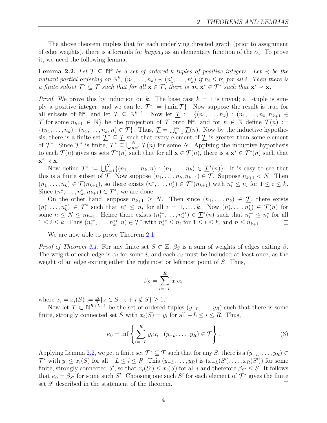The above theorem implies that for each underlying directed graph (prior to assignment of edge weights), there is a formula for  $kappa_0$  as an elementary function of the  $\alpha_i$ . To prove it, we need the following lemma.

<span id="page-3-0"></span>**Lemma 2.2.** Let  $\mathcal{T} \subseteq \mathbb{N}^k$  be a set of ordered k-tuples of positive integers. Let  $\prec$  be the natural partial ordering on  $\mathbb{N}^k$ ,  $(n_1, \ldots, n_k) \prec (n'_1, \ldots, n'_k)$  if  $n_i \leq n'_i$  for all i. Then there is a finite subset  $\mathcal{T}^* \subseteq \mathcal{T}$  such that for all  $\mathbf{x} \in \mathcal{T}$ , there is an  $\mathbf{x}^* \in \mathcal{T}^*$  such that  $\mathbf{x}^* \prec \mathbf{x}$ .

*Proof.* We prove this by induction on k. The base case  $k = 1$  is trivial; a 1-tuple is simply a positive integer, and we can let  $\mathcal{T}^* := \{\min \mathcal{T}\}\$ . Now suppose the result is true for all subsets of  $\mathbb{N}^k$ , and let  $\mathcal{T} \subseteq \mathbb{N}^{k+1}$ . Now let  $\underline{\mathcal{T}} := \{(n_1, \ldots, n_k) : (n_1, \ldots, n_k, n_{k+1} \in$ T for some  $n_{k+1} \in \mathbb{N}$  be the projection of T onto  $\mathbb{N}^k$ , and for  $n \in \mathbb{N}$  define  $\underline{\mathcal{T}}(n) :=$  $\{(n_1,\ldots,n_k): (n_1,\ldots,n_k,n)\in\mathcal{T}\}\.$  Thus,  $\underline{\mathcal{T}}=\bigcup_{n=1}^{\infty}\underline{\mathcal{T}}(n)$ . Now by the inductive hypothesis, there is a finite set  $\mathcal{T}^* \subseteq \mathcal{T}$  such that every element of  $\mathcal{T}$  is greater than some element of  $\mathcal{T}^*$ . Since  $\mathcal{T}^*$  is finite,  $\mathcal{T}^* \subseteq \bigcup_{n=1}^N \mathcal{T}(n)$  for some N. Applying the inductive hypothesis to each  $\mathcal{T}(n)$  gives us sets  $\mathcal{T}^*(n)$  such that for all  $\mathbf{x} \in \mathcal{T}(n)$ , there is a  $\mathbf{x}^* \in \mathcal{T}^*(n)$  such that  $\mathbf{x}^* \prec \mathbf{x}$ .

Now define  $\mathcal{T}^* := \bigcup_{n=1}^N \{(n_1,\ldots,n_k,n) : (n_1,\ldots,n_k) \in \underline{\mathcal{T}}^*(n)\}.$  It is easy to see that this is a finite subset of  $\mathcal T$ . Now suppose  $(n_1, \ldots, n_k, n_{k+1}) \in \mathcal T$ . Suppose  $n_{k+1} < N$ . Then  $(n_1,\ldots,n_k)\in \underline{\mathcal{T}}(n_{k+1}),$  so there exists  $(n_1^*,\ldots,n_k^*)\in \underline{\mathcal{T}}^*(n_{k+1})$  with  $n_i^*\leq n_i$  for  $1\leq i\leq k$ . Since  $(n_1^*, \ldots, n_k^*, n_{k+1}) \in \mathcal{T}^*$ , we are done.

On the other hand, suppose  $n_{k+1} \geq N$ . Then since  $(n_1, \ldots, n_k) \in \mathcal{T}$ , there exists  $(n_1^*,\ldots,n_k^*)\in \underline{\mathcal{T}}^*$  such that  $n_i^* \leq n_i$  for all  $i=1,\ldots,k$ . Now  $(n_1^*,\ldots,n_k^*)\in \underline{\mathcal{T}}(n)$  for some  $n \leq N \leq n_{k+1}$ . Hence there exists  $(n_1^{**}, \ldots, n_k^{**}) \in \underline{\mathcal{T}}^*(n)$  such that  $n_i^{**} \leq n_i^*$  for all  $1 \le i \le k$ . Thus  $(n_1^{**}, \ldots, n_k^{**}, n) \in \mathcal{T}^*$  with  $n_i^{**} \le n_i$  for  $1 \le i \le k$ , and  $n \le n_{k+1}$ .  $\Box$ 

We are now able to prove Theorem [2.1.](#page-2-1)

Proof of Theorem [2.1.](#page-2-1) For any finite set  $S \subset \mathbb{Z}$ ,  $\beta_S$  is a sum of weights of edges exiting  $\beta$ . The weight of each edge is  $\alpha_i$  for some i, and each  $\alpha_i$  must be included at least once, as the weight of an edge exiting either the rightmost or leftmost point of S. Thus,

$$
\beta_S = \sum_{i=-L}^{R} x_i \alpha_i
$$

where  $x_i = x_i(S) := \#\{z \in S : z + i \notin S\} \ge 1$ .

Now let  $\mathcal{T} \subset \mathbb{N}^{R+L+1}$  be the set of ordered tuples  $(y_{-L}, \ldots, y_R)$  such that there is some finite, strongly connected set S with  $x_i(S) = y_i$  for all  $-L \leq i \leq R$ . Thus,

<span id="page-3-1"></span>
$$
\kappa_0 = \inf \left\{ \sum_{i=-L}^R y_i \alpha_i : (y_{-L}, \dots, y_R) \in \mathcal{T} \right\}.
$$
 (3)

Applying Lemma [2.2,](#page-3-0) we get a finite set  $\mathcal{T}^* \subseteq \mathcal{T}$  such that for any S, there is a  $(y_{-L}, \ldots, y_R) \in$  $\mathcal{T}^*$  with  $y_i \leq x_i(S)$  for all  $-L \leq i \leq R$ . This  $(y_{-L},...,y_R)$  is  $(x_{-L}(S'),...,x_R(S'))$  for some finite, strongly connected S', so that  $x_i(S') \leq x_i(S)$  for all i and therefore  $\beta_{S'} \leq S$ . It follows that  $\kappa_0 = \beta_{S'}$  for some such S'. Choosing one such S' for each element of  $\mathcal{T}^*$  gives the finite set  $\mathcal S$  described in the statement of the theorem.  $\Box$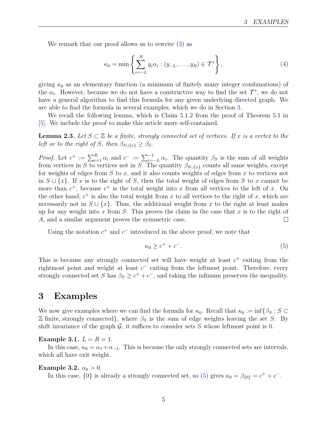We remark that our proof allows us to rewrite [\(3\)](#page-3-1) as

$$
\kappa_0 = \min \left\{ \sum_{i=-L}^R y_i \alpha_i : (y_{-L}, \dots, y_R) \in \mathcal{T}^* \right\},\tag{4}
$$

giving  $\kappa_0$  as an elementary function (a minimum of finitely many integer combinations) of the  $\alpha_i$ . However, because we do not have a constructive way to find the set  $\mathcal{T}^*$ , we do not have a general algorithm to find this formula for any given underlying directed graph. We are able to find the formula in several examples, which we do in Section [3.](#page-4-0)

We recall the following lemma, which is Claim 5.1.2 from the proof of Theorem 5.1 in [\[5\]](#page-11-0). We include the proof to make this article more self-contained.

<span id="page-4-2"></span>**Lemma 2.3.** Let  $S \subset \mathbb{Z}$  be a finite, strongly connected set of vertices. If x is a vertex to the left or to the right of S, then  $\beta_{S \cup \{x\}} \geq \beta_S$ .

*Proof.* Let  $c^+ := \sum_{i=1}^R \alpha_i$  and  $c^- := \sum_{i=-L}^{-1} \alpha_i$ . The quantity  $\beta_S$  is the sum of all weights from vertices in S to vertices not in S. The quantity  $\beta_{S\cup\{x\}}$  counts all same weights, except for weights of edges from  $S$  to  $x$ , and it also counts weights of edges from  $x$  to vertices not in  $S \cup \{x\}$ . If x is to the right of S, then the total weight of edges from S to x cannot be more than  $c^+$ , because  $c^+$  is the total weight into x from all vertices to the left of x. On the other hand,  $c^+$  is also the total weight from x to all vertices to the right of x, which are necessarily not in  $S \cup \{x\}$ . Thus, the additional weight from x to the right at least makes up for any weight into x from S. This proves the claim in the case that x is to the right of A, and a similar argument proves the symmetric case.  $\Box$ 

Using the notation  $c^+$  and  $c^-$  introduced in the above proof, we note that

<span id="page-4-1"></span>
$$
\kappa_0 \ge c^+ + c^-. \tag{5}
$$

This is because any strongly connected set will have weight at least  $c^+$  exiting from the rightmost point and weight at least  $c^-$  exiting from the leftmost point. Therefore, every strongly connected set S has  $\beta_S \geq c^+ + c^-$ , and taking the infimum preserves the inequality.

### <span id="page-4-0"></span>3 Examples

We now give examples where we can find the formula for  $\kappa_0$ . Recall that  $\kappa_0 := \inf \{ \beta_S : S \subset \mathbb{R}^2 \}$  $\mathbb Z$  finite, strongly connected}, where  $\beta_S$  is the sum of edge weights leaving the set S. By shift invariance of the graph  $\mathcal{G}$ , it suffices to consider sets S whose leftmost point is 0.

#### <span id="page-4-3"></span>Example 3.1.  $L = R = 1$ .

In this case,  $\kappa_0 = \alpha_1 + \alpha_{-1}$ . This is because the only strongly connected sets are intervals, which all have exit weight.

#### <span id="page-4-4"></span>Example 3.2.  $\alpha_0 > 0$ .

In this case,  $\{0\}$  is already a strongly connected set, so [\(5\)](#page-4-1) gives  $\kappa_0 = \beta_{\{0\}} = c^+ + c^-$ .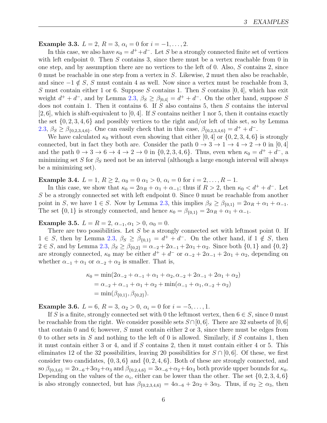<span id="page-5-0"></span>Example 3.3.  $L = 2$ ,  $R = 3$ ,  $\alpha_i = 0$  for  $i = -1, \ldots, 2$ .

In this case, we also have  $\kappa_0 = d^+ + d^-$ . Let S be a strongly connected finite set of vertices with left endpoint 0. Then  $S$  contains 3, since there must be a vertex reachable from 0 in one step, and by assumption there are no vertices to the left of 0. Also,  $S$  contains 2, since 0 must be reachable in one step from a vertex in  $S$ . Likewise, 2 must then also be reachable, and since  $-1 \notin S$ , S must contain 4 as well. Now since a vertex must be reachable from 3, S must contain either 1 or 6. Suppose S contains 1. Then S contains  $[0, 4]$ , which has exit weight  $d^+ + d^-$ , and by Lemma [2.3,](#page-4-2)  $\beta_S \geq \beta_{0,4} = d^+ + d^-$ . On the other hand, suppose S does not contain 1. Then it contains 6. If S also contains 5, then S contains the interval  $[2, 6]$ , which is shift-equivalent to  $[0, 4]$ . If S contains neither 1 nor 5, then it contains exactly the set  $\{0, 2, 3, 4, 6\}$  and possibly vertices to the right and/or left of this set, so by Lemma [2.3,](#page-4-2)  $\beta_S \geq \beta_{\{0,2,3,4,6\}}$ . One can easily check that in this case,  $\beta_{\{0,2,3,4,6\}} = d^+ + d^-$ .

We have calculated  $\kappa_0$  without even showing that either [0, 4] or  $\{0, 2, 3, 4, 6\}$  is strongly connected, but in fact they both are. Consider the path  $0 \to 3 \to 1 \to 4 \to 2 \to 0$  in [0, 4] and the path  $0 \to 3 \to 6 \to 4 \to 2 \to 0$  in  $\{0, 2, 3, 4, 6\}$ . Thus, even when  $\kappa_0 = d^+ + d^-$ , a minimizing set S for  $\beta_s$  need not be an interval (although a large enough interval will always be a minimizing set).

<span id="page-5-1"></span>Example 3.4.  $L = 1, R \ge 2, \alpha_0 = 0 \alpha_1 > 0, \alpha_i = 0$  for  $i = 2, ..., R - 1$ .

In this case, we show that  $\kappa_0 = 2\alpha_R + \alpha_1 + \alpha_{-1}$ ; thus if  $R > 2$ , then  $\kappa_0 < d^+ + d^-$ . Let S be a strongly connected set with left endpoint 0. Since 0 must be reachable from another point in S, we have  $1 \in S$ . Now by Lemma [2.3,](#page-4-2) this implies  $\beta_S \geq \beta_{0,1} = 2\alpha_R + \alpha_1 + \alpha_{-1}$ . The set  $\{0,1\}$  is strongly connected, and hence  $\kappa_0 = \beta_{\{0,1\}} = 2\alpha_R + \alpha_1 + \alpha_{-1}$ .

<span id="page-5-2"></span>Example 3.5.  $L = R = 2, \alpha_{-1}, \alpha_1 > 0, \alpha_0 = 0.$ 

There are two possibilities. Let  $S$  be a strongly connected set with leftmost point 0. If  $1 \in S$ , then by Lemma [2.3,](#page-4-2)  $\beta_S \geq \beta_{\{0,1\}} = d^+ + d^-$ . On the other hand, if  $1 \notin S$ , then  $2 \in S$ , and by Lemma [2.3,](#page-4-2)  $\beta_S \geq \beta_{0,2} = \alpha_{-2} + 2\alpha_{-1} + 2\alpha_1 + \alpha_2$ . Since both  $\{0,1\}$  and  $\{0,2\}$ are strongly connected,  $\kappa_0$  may be either  $d^+ + d^-$  or  $\alpha_{-2} + 2\alpha_{-1} + 2\alpha_1 + \alpha_2$ , depending on whether  $\alpha_{-1} + \alpha_1$  or  $\alpha_{-2} + \alpha_2$  is smaller. That is,

$$
\kappa_0 = \min(2\alpha_{-2} + \alpha_{-1} + \alpha_1 + \alpha_2, \alpha_{-2} + 2\alpha_{-1} + 2\alpha_1 + \alpha_2)
$$
  
=  $\alpha_{-2} + \alpha_{-1} + \alpha_1 + \alpha_2 + \min(\alpha_{-1} + \alpha_1, \alpha_{-2} + \alpha_2)$   
=  $\min(\beta_{\{0,1\}}, \beta_{\{0,2\}}).$ 

<span id="page-5-3"></span>Example 3.6.  $L = 6$ ,  $R = 3$ ,  $\alpha_2 > 0$ ,  $\alpha_i = 0$  for  $i = -5, \ldots, 1$ .

If S is a finite, strongly connected set with 0 the leftmost vertex, then  $6 \in S$ , since 0 must be reachable from the right. We consider possible sets  $S\cap [0,6]$ . There are 32 subsets of [0, 6] that contain 0 and 6; however, S must contain either 2 or 3, since there must be edges from 0 to other sets in  $S$  and nothing to the left of 0 is allowed. Similarly, if  $S$  contains 1, then it must contain either 3 or 4, and if S contains 2, then it must contain either 4 or 5. This eliminates 12 of the 32 possibilities, leaving 20 possibilities for  $S \cap [0,6]$ . Of these, we first consider two candidates,  $\{0, 3, 6\}$  and  $\{0, 2, 4, 6\}$ . Both of these are strongly connected, and so  $\beta_{\{0,3,6\}} = 2\alpha_{-6} + 3\alpha_2 + \alpha_3$  and  $\beta_{\{0,2,4,6\}} = 3\alpha_{-6} + \alpha_2 + 4\alpha_3$  both provide upper bounds for  $\kappa_0$ . Depending on the values of the  $\alpha_i$ , either can be lower than the other. The set  $\{0, 2, 3, 4, 6\}$ is also strongly connected, but has  $\beta_{\{0,2,3,4,6\}} = 4\alpha_{-6} + 2\alpha_2 + 3\alpha_3$ . Thus, if  $\alpha_2 \ge \alpha_3$ , then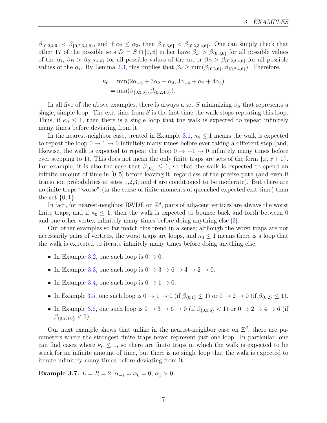$\beta_{\{0,2,4,6\}} < \beta_{\{0,2,3,4,6\}}$ , and if  $\alpha_2 \leq \alpha_3$ , then  $\beta_{\{0,3,6\}} < \beta_{\{0,2,3,4,6\}}$ . One can simply check that other 17 of the possible sets  $D = S \cap [0, 6]$  either have  $\beta_D > \beta_{\{0,3,6\}}$  for all possible values of the  $\alpha_i$ ,  $\beta_D > \beta_{0,2,4,6}$  for all possible values of the  $\alpha_i$ , or  $\beta_D > \beta_{0,2,3,4,6}$  for all possible values of the  $\alpha_i$ . By Lemma [2.3,](#page-4-2) this implies that  $\beta_S \ge \min(\beta_{\{0,3,6\}}, \beta_{\{0,2,4,6\}})$ . Therefore,

$$
\kappa_0 = \min(2\alpha_{-6} + 3\alpha_2 + \alpha_3, 3\alpha_{-6} + \alpha_2 + 4\alpha_3)
$$
  
= 
$$
\min(\beta_{\{0,3,6\}}, \beta_{\{0,2,4,6\}}).
$$

In all five of the above examples, there is always a set S minimizing  $\beta_S$  that represents a single, simple loop. The exit time from  $S$  is the first time the walk stops repeating this loop. Thus, if  $\kappa_0 \leq 1$ , then there is a single loop that the walk is expected to repeat infinitely many times before deviating from it.

In the nearest-neighbor case, treated in Example [3.1,](#page-4-3)  $\kappa_0 \leq 1$  means the walk is expected to repeat the loop  $0 \to 1 \to 0$  infinitely many times before ever taking a different step (and, likewise, the walk is expected to repeat the loop  $0 \rightarrow -1 \rightarrow 0$  infinitely many times before ever stepping to 1). This does not mean the only finite traps are sets of the form  $\{x, x+1\}$ . For example, it is also the case that  $\beta_{0.5} \leq 1$ , so that the walk is expected to spend an infinite amount of time in [0, 5] before leaving it, regardless of the precise path (and even if transition probabilities at sites 1,2,3, and 4 are conditioned to be moderate). But there are no finite traps "worse" (in the sense of finite moments of quenched expected exit time) than the set  $\{0, 1\}$ .

In fact, for nearest-neighbor RWDE on  $\mathbb{Z}^d$ , pairs of adjacent vertices are always the worst finite traps, and if  $\kappa_0 \leq 1$ , then the walk is expected to bounce back and forth between 0 and one other vertex infinitely many times before doing anything else [\[3\]](#page-11-3).

Our other examples so far match this trend in a sense; although the worst traps are not necessarily pairs of vertices, the worst traps are loops, and  $\kappa_0 \leq 1$  means there is a loop that the walk is expected to iterate infinitely many times before doing anything else.

- In Example [3.2,](#page-4-4) one such loop is  $0 \to 0$ .
- In Example [3.3,](#page-5-0) one such loop is  $0 \rightarrow 3 \rightarrow 6 \rightarrow 4 \rightarrow 2 \rightarrow 0$ .
- In Example [3.4,](#page-5-1) one such loop is  $0 \to 1 \to 0$ .
- In Example [3.5,](#page-5-2) one such loop is  $0 \to 1 \to 0$  (if  $\beta_{\{0,1\}} \leq 1$ ) or  $0 \to 2 \to 0$  (if  $\beta_{\{0,2\}} \leq 1$ ).
- In Example [3.6,](#page-5-3) one such loop is  $0 \to 3 \to 6 \to 0$  (if  $\beta_{\{0,3,6\}} < 1$ ) or  $0 \to 2 \to 4 \to 6$  (if  $\beta_{\{0,2,4,6\}} < 1$ ).

Our next example shows that unlike in the nearest-neighbor case on  $\mathbb{Z}^d$ , there are parameters where the strongest finite traps never represent just one loop. In particular, one can find cases where  $\kappa_0 \leq 1$ , so there are finite traps in which the walk is expected to be stuck for an infinite amount of time, but there is no single loop that the walk is expected to iterate infinitely many times before deviating from it.

Example 3.7.  $L = R = 2, \alpha_{-1} = \alpha_0 = 0, \alpha_1 > 0.$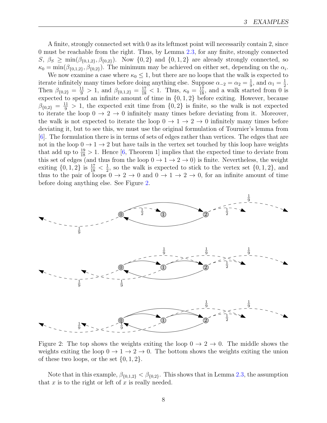A finite, strongly connected set with 0 as its leftmost point will necessarily contain 2, since 0 must be reachable from the right. Thus, by Lemma [2.3,](#page-4-2) for any finite, strongly connected  $S, \beta_S \geq \min(\beta_{\{0,1,2\}}, \beta_{\{0,2\}}).$  Now  $\{0,2\}$  and  $\{0,1,2\}$  are already strongly connected, so  $\kappa_0 = \min(\beta_{\{0,1,2\}}, \beta_{\{0,2\}})$ . The minimum may be achieved on either set, depending on the  $\alpha_i$ .

We now examine a case where  $\kappa_0 \leq 1$ , but there are no loops that the walk is expected to iterate infinitely many times before doing anything else. Suppose  $\alpha_{-2} = \alpha_2 = \frac{1}{9}$  $\frac{1}{9}$ , and  $\alpha_1 = \frac{1}{2}$  $\frac{1}{2}$ . Then  $\beta_{\{0,2\}} = \frac{11}{9} > 1$ , and  $\beta_{\{0,1,2\}} = \frac{17}{18} < 1$ . Thus,  $\kappa_0 = \frac{17}{18}$ , and a walk started from 0 is expected to spend an infinite amount of time in {0, 1, 2} before exiting. However, because  $\beta_{\{0,2\}} = \frac{11}{9} > 1$ , the expected exit time from  $\{0,2\}$  is finite, so the walk is not expected to iterate the loop  $0 \to 2 \to 0$  infinitely many times before deviating from it. Moreover, the walk is not expected to iterate the loop  $0 \to 1 \to 2 \to 0$  infinitely many times before deviating it, but to see this, we must use the original formulation of Tournier's lemma from [\[6\]](#page-11-4). The formulation there is in terms of sets of edges rather than vertices. The edges that are not in the loop  $0 \to 1 \to 2$  but have tails in the vertex set touched by this loop have weights that add up to  $\frac{19}{18} > 1$ . Hence [\[6,](#page-11-4) Theorem 1] implies that the expected time to deviate from this set of edges (and thus from the loop  $0 \to 1 \to 2 \to 0$ ) is finite. Nevertheless, the weight exiting  $\{0, 1, 2\}$  is  $\frac{17}{18} < \frac{1}{2}$  $\frac{1}{2}$ , so the walk is expected to stick to the vertex set  $\{0, 1, 2\}$ , and thus to the pair of loops  $0 \to 2 \to 0$  and  $0 \to 1 \to 2 \to 0$ , for an infinite amount of time before doing anything else. See Figure [2.](#page-7-0)



<span id="page-7-0"></span>Figure 2: The top shows the weights exiting the loop  $0 \rightarrow 2 \rightarrow 0$ . The middle shows the weights exiting the loop  $0 \to 1 \to 2 \to 0$ . The bottom shows the weights exiting the union of these two loops, or the set  $\{0, 1, 2\}$ .

Note that in this example,  $\beta_{\{0,1,2\}} < \beta_{\{0,2\}}$ . This shows that in Lemma [2.3,](#page-4-2) the assumption that  $x$  is to the right or left of  $x$  is really needed.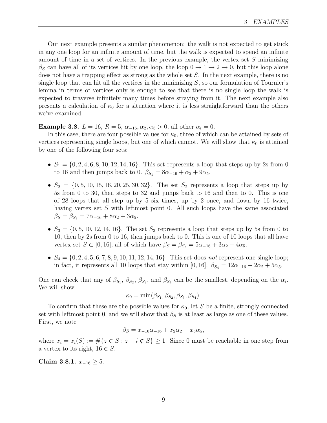Our next example presents a similar phenomenon: the walk is not expected to get stuck in any one loop for an infinite amount of time, but the walk is expected to spend an infinite amount of time in a set of vertices. In the previous example, the vertex set  $S$  minimizing  $\beta_S$  can have all of its vertices hit by one loop, the loop  $0 \to 1 \to 2 \to 0$ , but this loop alone does not have a trapping effect as strong as the whole set  $S$ . In the next example, there is no single loop that can hit all the vertices in the minimizing  $S$ , so our formulation of Tournier's lemma in terms of vertices only is enough to see that there is no single loop the walk is expected to traverse infinitely many times before straying from it. The next example also presents a calculation of  $\kappa_0$  for a situation where it is less straightforward than the others we've examined.

<span id="page-8-0"></span>Example 3.8.  $L = 16$ ,  $R = 5$ ,  $\alpha_{-16}, \alpha_2, \alpha_5 > 0$ , all other  $\alpha_i = 0$ .

In this case, there are four possible values for  $\kappa_0$ , three of which can be attained by sets of vertices representing single loops, but one of which cannot. We will show that  $\kappa_0$  is attained by one of the following four sets:

- $S_1 = \{0, 2, 4, 6, 8, 10, 12, 14, 16\}$ . This set represents a loop that steps up by 2s from 0 to 16 and then jumps back to 0.  $\beta_{S_1} = 8\alpha_{-16} + \alpha_2 + 9\alpha_5$ .
- $S_2 = \{0, 5, 10, 15, 16, 20, 25, 30, 32\}$ . The set  $S_2$  represents a loop that steps up by 5s from 0 to 30, then steps to 32 and jumps back to 16 and then to 0. This is one of 28 loops that all step up by 5 six times, up by 2 once, and down by 16 twice, having vertex set  $S$  with leftmost point 0. All such loops have the same associated  $\beta_S = \beta_{S_2} = 7\alpha_{-16} + 8\alpha_2 + 3\alpha_5.$
- $S_3 = \{0, 5, 10, 12, 14, 16\}$ . The set  $S_3$  represents a loop that steps up by 5s from 0 to 10, then by 2s from 0 to 16, then jumps back to 0. This is one of 10 loops that all have vertex set  $S \subset [0, 16]$ , all of which have  $\beta_S = \beta_{S_3} = 5\alpha_{-16} + 3\alpha_2 + 4\alpha_5$ .
- $S_4 = \{0, 2, 4, 5, 6, 7, 8, 9, 10, 11, 12, 14, 16\}$ . This set does not represent one single loop; in fact, it represents all 10 loops that stay within [0, 16].  $\beta_{S_4} = 12\alpha_{-16} + 2\alpha_2 + 5\alpha_5$ .

One can check that any of  $\beta_{S_1}, \beta_{S_2}, \beta_{S_3}$ , and  $\beta_{S_4}$  can be the smallest, depending on the  $\alpha_i$ . We will show

$$
\kappa_0 = \min(\beta_{S_1}, \beta_{S_2}, \beta_{S_3}, \beta_{S_4}).
$$

To confirm that these are the possible values for  $\kappa_0$ , let S be a finite, strongly connected set with leftmost point 0, and we will show that  $\beta_S$  is at least as large as one of these values. First, we note

$$
\beta_S = x_{-16}\alpha_{-16} + x_2\alpha_2 + x_5\alpha_5,
$$

where  $x_i = x_i(S) := \#\{z \in S : z + i \notin S\} \ge 1$ . Since 0 must be reachable in one step from a vertex to its right,  $16 \in S$ .

<span id="page-8-1"></span>Claim 3.8.1.  $x_{-16} \geq 5$ .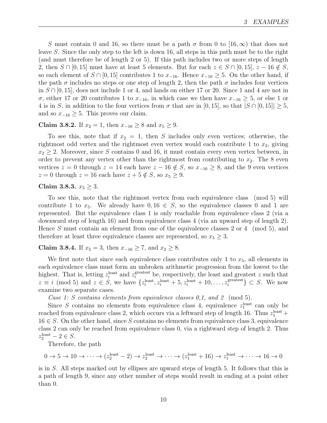S must contain 0 and 16, so there must be a path  $\sigma$  from 0 to [16, $\infty$ ) that does not leave S. Since the only step to the left is down 16, all steps in this path must be to the right (and must therefore be of length 2 or 5). If this path includes two or more steps of length 2, then  $S \cap [0, 15]$  must have at least 5 elements. But for each  $z \in S \cap [0, 15]$ ,  $z - 16 \notin S$ , so each element of  $S \cap [0, 15]$  contributes 1 to  $x_{-16}$ . Hence  $x_{-16} \geq 5$ . On the other hand, if the path  $\sigma$  includes no steps or one step of length 2, then the path  $\sigma$  includes four vertices in  $S \cap [0, 15]$ , does not include 1 or 4, and lands on either 17 or 20. Since 1 and 4 are not in σ, either 17 or 20 contributes 1 to x<sup>−</sup>16, in which case we then have x<sup>−</sup><sup>16</sup> ≥ 5, or else 1 or 4 is in S, in addition to the four vertices from  $\sigma$  that are in [0, 15], so that  $|S \cap [0, 15]| \geq 5$ , and so  $x_{-16} \geq 5$ . This proves our claim.

<span id="page-9-2"></span>Claim 3.8.2. If  $x_2 = 1$ , then  $x_{-16} \ge 8$  and  $x_5 \ge 9$ .

To see this, note that if  $x_2 = 1$ , then S includes only even vertices; otherwise, the rightmost odd vertex and the rightmost even vertex would each contribute 1 to  $x_2$ , giving  $x_2 \geq 2$ . Moreover, since S contains 0 and 16, it must contain every even vertex between, in order to prevent any vertex other than the rightmost from contributing to  $x_2$ . The 8 even vertices  $z = 0$  through  $z = 14$  each have  $z - 16 \notin S$ , so  $x_{-16} \ge 8$ , and the 9 even vertices  $z = 0$  through  $z = 16$  each have  $z + 5 \notin S$ , so  $x_5 \geq 9$ .

### <span id="page-9-0"></span>Claim 3.8.3.  $x_5 \geq 3$ .

To see this, note that the rightmost vertex from each equivalence class (mod 5) will contribute 1 to  $x_5$ . We already have  $0, 16 \in S$ , so the equivalence classes 0 and 1 are represented. But the equivalence class 1 is only reachable from equivalence class 2 (via a downward step of length 16) and from equivalence class 4 (via an upward step of length 2). Hence S must contain an element from one of the equivalence classes 2 or 4 (mod 5), and therefore at least three equivalence classes are represented, so  $x_5 \geq 3$ .

<span id="page-9-1"></span>Claim 3.8.4. If  $x_5 = 3$ , then  $x_{-16} \ge 7$ , and  $x_2 \ge 8$ .

We first note that since each equivalence class contributes only 1 to  $x_5$ , all elements in each equivalence class must form an unbroken arithmetic progression from the lowest to the highest. That is, letting  $z_i^{\text{least}}$  and  $z_i^{\text{greatest}}$  be, respectively, the least and greatest z such that  $z \equiv i \pmod{5}$  and  $z \in S$ , we have  $\{z_i^{\text{least}}, z_i^{\text{least}} + 5, z_i^{\text{least}} + 10, \ldots, z_i^{\text{greatest}}\}$  $\{S_i^{\text{greatest}}\} \subset S$ . We now examine two separate cases.

Case 1: S contains elements from equivalence classes 0,1, and 2 (mod 5).

Since S contains no elements from equivalence class 4, equivalence  $z_1^{\text{least}}$  can only be reached from equivalence class 2, which occurs via a leftward step of length 16. Thus  $z_1^{\text{least}}$  +  $16 \in S$ . On the other hand, since S contains no elements from equivalence class 3, equivalence class 2 can only be reached from equivalence class 0, via a rightward step of length 2. Thus  $z_2^{\text{least}}-2 \in S$ .

Therefore, the path

$$
0 \to 5 \to 10 \to \cdots \to (z_2^{\text{least}} - 2) \to z_2^{\text{least}} \to \cdots \to (z_1^{\text{least}} + 16) \to z_1^{\text{least}} \to \cdots \to 16 \to 0
$$

is in S. All steps marked out by ellipses are upward steps of length 5. It follows that this is a path of length 9, since any other number of steps would result in ending at a point other than 0.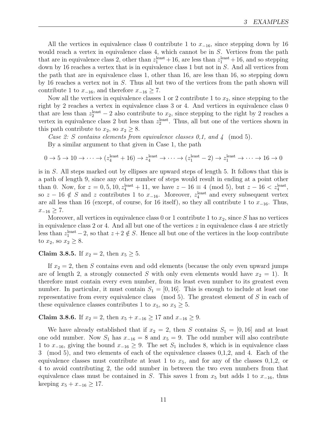All the vertices in equivalence class 0 contribute 1 to  $x_{-16}$ , since stepping down by 16 would reach a vertex in equivalence class 4, which cannot be in S. Vertices from the path that are in equivalence class 2, other than  $z_1^{\text{least}}+16$ , are less than  $z_1^{\text{least}}+16$ , and so stepping down by 16 reaches a vertex that is in equivalence class 1 but not in S. And all vertices from the path that are in equivalence class 1, other than 16, are less than 16, so stepping down by 16 reaches a vertex not in S. Thus all but two of the vertices from the path shown will contribute 1 to  $x_{-16}$ , and therefore  $x_{-16} \geq 7$ .

Now all the vertices in equivalence classes 1 or 2 contribute 1 to  $x_2$ , since stepping to the right by 2 reaches a vertex in equivalence class 3 or 4. And vertices in equivalence class 0 that are less than  $z_2^{\text{least}} - 2$  also contribute to  $x_2$ , since stepping to the right by 2 reaches a vertex in equivalence class 2 but less than  $z_2^{\text{least}}$ . Thus, all but one of the vertices shown in this path contribute to  $x_2$ , so  $x_2 \geq 8$ .

Case 2: S contains elements from equivalence classes 0,1, and  $\frac{1}{4}$  (mod 5).

By a similar argument to that given in Case 1, the path

$$
0 \to 5 \to 10 \to \cdots \to (z_4^{\text{least}} + 16) \to z_4^{\text{least}} \to \cdots \to (z_1^{\text{least}} - 2) \to z_1^{\text{least}} \to \cdots \to 16 \to 0
$$

is in S. All steps marked out by ellipses are upward steps of length 5. It follows that this is a path of length 9, since any other number of steps would result in ending at a point other than 0. Now, for  $z = 0, 5, 10, z_4^{\text{least}} + 11$ , we have  $z - 16 \equiv 4 \pmod{5}$ , but  $z - 16 < z_4^{\text{least}}$ , so  $z - 16 \notin S$  and z contributes 1 to  $x_{-16}$ . Moreover,  $z_4^{\text{least}}$  and every subsequent vertex are all less than 16 (except, of course, for 16 itself), so they all contribute 1 to  $x_{-16}$ . Thus,  $x_{-16} \geq 7$ .

Moreover, all vertices in equivalence class 0 or 1 contribute 1 to  $x_2$ , since S has no vertices in equivalence class 2 or 4. And all but one of the vertices  $z$  in equivalence class 4 are strictly less than  $z_1^{\text{least}} - 2$ , so that  $z + 2 \notin S$ . Hence all but one of the vertices in the loop contribute to  $x_2$ , so  $x_2 \geq 8$ .

### <span id="page-10-1"></span>Claim 3.8.5. If  $x_2 = 2$ , then  $x_5 \ge 5$ .

If  $x_2 = 2$ , then S contains even and odd elements (because the only even upward jumps are of length 2, a strongly connected S with only even elements would have  $x_2 = 1$ ). It therefore must contain every even number, from its least even number to its greatest even number. In particular, it must contain  $S_1 = [0, 16]$ . This is enough to include at least one representative from every equivalence class (mod 5). The greatest element of S in each of these equivalence classes contributes 1 to  $x_5$ , so  $x_5 \geq 5$ .

<span id="page-10-0"></span>Claim 3.8.6. If  $x_2 = 2$ , then  $x_5 + x_{-16} \ge 17$  and  $x_{-16} \ge 9$ .

We have already established that if  $x_2 = 2$ , then S contains  $S_1 = [0, 16]$  and at least one odd number. Now  $S_1$  has  $x_{-16} = 8$  and  $x_5 = 9$ . The odd number will also contribute 1 to  $x_{-16}$ , giving the bound  $x_{-16} \ge 9$ . The set  $S_1$  includes 8, which is in equivalence class 3 (mod 5), and two elements of each of the equivalence classes 0,1,2, and 4. Each of the equivalence classes must contribute at least 1 to  $x_5$ , and for any of the classes 0,1,2, or 4 to avoid contributing 2, the odd number in between the two even numbers from that equivalence class must be contained in S. This saves 1 from  $x_5$  but adds 1 to  $x_{-16}$ , thus keeping  $x_5 + x_{-16} \ge 17$ .